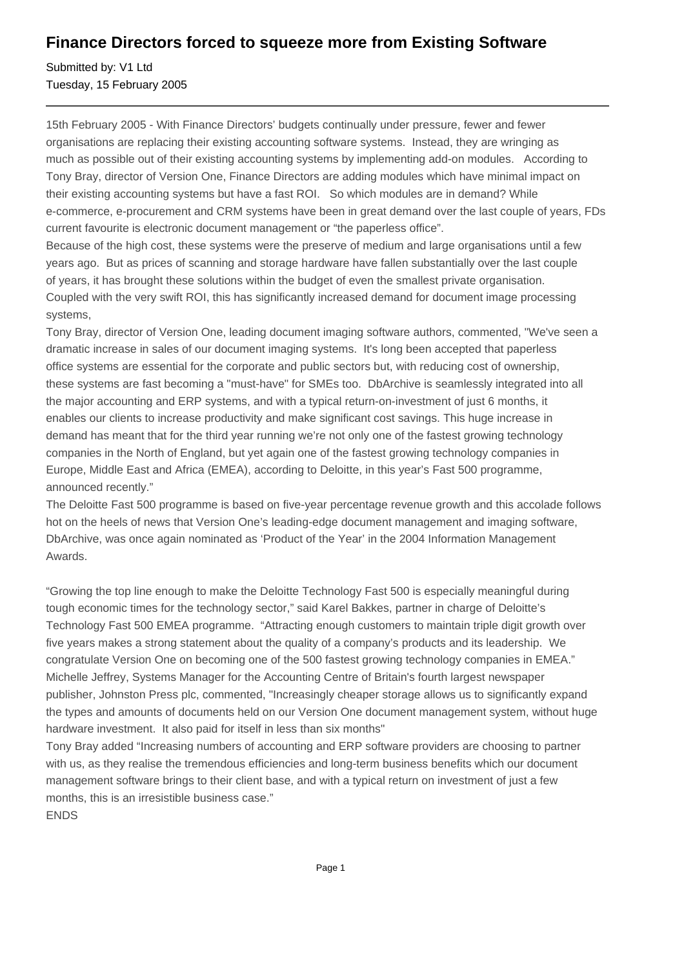## **Finance Directors forced to squeeze more from Existing Software**

Submitted by: V1 Ltd Tuesday, 15 February 2005

15th February 2005 - With Finance Directors' budgets continually under pressure, fewer and fewer organisations are replacing their existing accounting software systems. Instead, they are wringing as much as possible out of their existing accounting systems by implementing add-on modules. According to Tony Bray, director of Version One, Finance Directors are adding modules which have minimal impact on their existing accounting systems but have a fast ROI. So which modules are in demand? While e-commerce, e-procurement and CRM systems have been in great demand over the last couple of years, FDs current favourite is electronic document management or "the paperless office".

Because of the high cost, these systems were the preserve of medium and large organisations until a few years ago. But as prices of scanning and storage hardware have fallen substantially over the last couple of years, it has brought these solutions within the budget of even the smallest private organisation. Coupled with the very swift ROI, this has significantly increased demand for document image processing systems,

Tony Bray, director of Version One, leading document imaging software authors, commented, "We've seen a dramatic increase in sales of our document imaging systems. It's long been accepted that paperless office systems are essential for the corporate and public sectors but, with reducing cost of ownership, these systems are fast becoming a "must-have" for SMEs too. DbArchive is seamlessly integrated into all the major accounting and ERP systems, and with a typical return-on-investment of just 6 months, it enables our clients to increase productivity and make significant cost savings. This huge increase in demand has meant that for the third year running we're not only one of the fastest growing technology companies in the North of England, but yet again one of the fastest growing technology companies in Europe, Middle East and Africa (EMEA), according to Deloitte, in this year's Fast 500 programme, announced recently."

The Deloitte Fast 500 programme is based on five-year percentage revenue growth and this accolade follows hot on the heels of news that Version One's leading-edge document management and imaging software, DbArchive, was once again nominated as 'Product of the Year' in the 2004 Information Management Awards.

"Growing the top line enough to make the Deloitte Technology Fast 500 is especially meaningful during tough economic times for the technology sector," said Karel Bakkes, partner in charge of Deloitte's Technology Fast 500 EMEA programme. "Attracting enough customers to maintain triple digit growth over five years makes a strong statement about the quality of a company's products and its leadership. We congratulate Version One on becoming one of the 500 fastest growing technology companies in EMEA." Michelle Jeffrey, Systems Manager for the Accounting Centre of Britain's fourth largest newspaper publisher, Johnston Press plc, commented, "Increasingly cheaper storage allows us to significantly expand the types and amounts of documents held on our Version One document management system, without huge hardware investment. It also paid for itself in less than six months"

Tony Bray added "Increasing numbers of accounting and ERP software providers are choosing to partner with us, as they realise the tremendous efficiencies and long-term business benefits which our document management software brings to their client base, and with a typical return on investment of just a few months, this is an irresistible business case."

ENDS